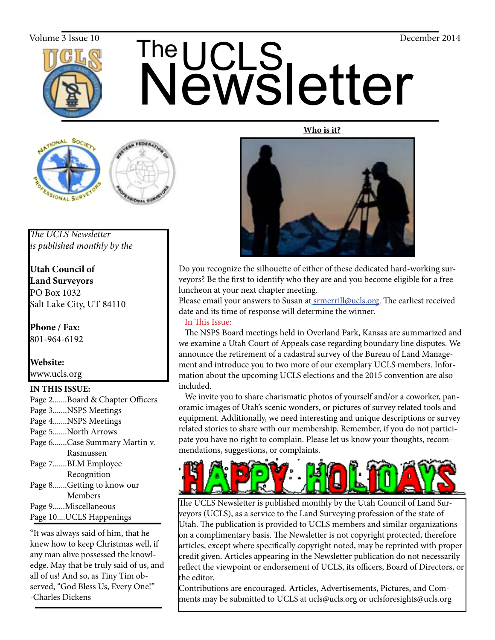

# The UCLS<br>Newsletter The Volume 3 Issue 10 December 2014

#### **Who is it?**





*The UCLS Newsletter is published monthly by the*

**Utah Council of Land Surveyors** PO Box 1032 Salt Lake City, UT 84110

**Phone / Fax:**  801-964-6192

**Website:** www.ucls.org

#### **IN THIS ISSUE:**

| Page 2Board & Chapter Officers |
|--------------------------------|
| Page 3NSPS Meetings            |
| Page 4NSPS Meetings            |
| Page 5North Arrows             |
| Page 6Case Summary Martin v.   |
| Rasmussen                      |
| Page 7BLM Employee             |
| Recognition                    |
| Page 8Getting to know our      |
| Members                        |
| Page 9Miscellaneous            |
|                                |

Page 10....UCLS Happenings

"It was always said of him, that he knew how to keep Christmas well, if any man alive possessed the knowledge. May that be truly said of us, and all of us! And so, as Tiny Tim observed, "God Bless Us, Every One!" -Charles Dickens



Do you recognize the silhouette of either of these dedicated hard-working surveyors? Be the first to identify who they are and you become eligible for a free luncheon at your next chapter meeting.

Please email your answers to Susan at **srmerrill@ucls.org**. The earliest received date and its time of response will determine the winner.

#### In This Issue:

 The NSPS Board meetings held in Overland Park, Kansas are summarized and we examine a Utah Court of Appeals case regarding boundary line disputes. We announce the retirement of a cadastral survey of the Bureau of Land Management and introduce you to two more of our exemplary UCLS members. Information about the upcoming UCLS elections and the 2015 convention are also included.

 We invite you to share charismatic photos of yourself and/or a coworker, panoramic images of Utah's scenic wonders, or pictures of survey related tools and equipment. Additionally, we need interesting and unique descriptions or survey related stories to share with our membership. Remember, if you do not participate you have no right to complain. Please let us know your thoughts, recommendations, suggestions, or complaints.



The UCLS Newsletter is published monthly by the Utah Council of Land Surveyors (UCLS), as a service to the Land Surveying profession of the state of Utah. The publication is provided to UCLS members and similar organizations on a complimentary basis. The Newsletter is not copyright protected, therefore articles, except where specifically copyright noted, may be reprinted with proper credit given. Articles appearing in the Newsletter publication do not necessarily reflect the viewpoint or endorsement of UCLS, its officers, Board of Directors, or the editor.

Contributions are encouraged. Articles, Advertisements, Pictures, and Comments may be submitted to UCLS at ucls@ucls.org or uclsforesights@ucls.org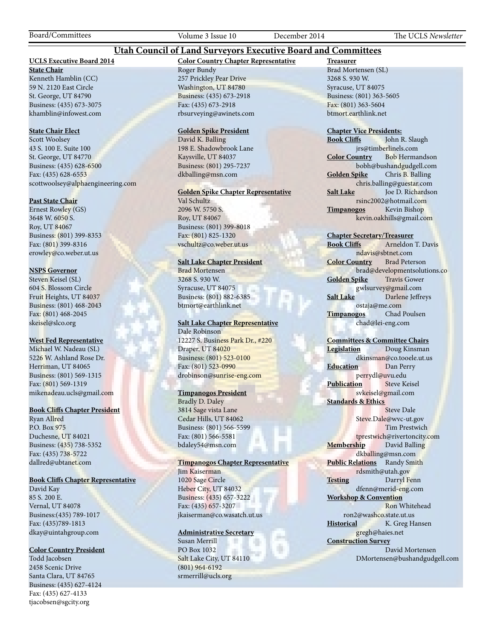Board/Committees Volume 3 Issue 10 December 2014 The UCLS *Newsletter*

#### **UCLS Executive Board 2014**

#### **Color Country Chapter Representative**

**State Chair**

Kenneth Hamblin (CC) 59 N. 2120 East Circle St. George, UT 84790 Business: (435) 673-3075 khamblin@infowest.com

#### **State Chair Elect**

Scott Woolsey 43 S. 100 E. Suite 100 St. George, UT 84770 Business: (435) 628-6500 Fax: (435) 628-6553 scottwoolsey@alphaengineering.com

#### **Past State Chair**

Ernest Rowley (GS) 3648 W. 6050 S. Roy, UT 84067 Business: (801) 399-8353 Fax: (801) 399-8316 erowley@co.weber.ut.us

#### **NSPS Governor**

Steven Keisel (SL) 604 S. Blossom Circle Fruit Heights, UT 84037 Business: (801) 468-2043 Fax: (801) 468-2045 skeisel@slco.org

#### **West Fed Representative**

Michael W. Nadeau (SL) 5226 W. Ashland Rose Dr. Herriman, UT 84065 Business: (801) 569-1315 Fax: (801) 569-1319 mikenadeau.ucls@gmail.com

#### **Book Cliffs Chapter President**

Ryan Allred P.O. Box 975 Duchesne, UT 84021 Business: (435) 738-5352 Fax: (435) 738-5722 dallred@ubtanet.com

#### **Book Cliffs Chapter Representative**

David Kay 85 S. 200 E. Vernal, UT 84078 Business:(435) 789-1017 Fax: (435)789-1813 dkay@uintahgroup.com

#### **Color Country President**

Todd Jacobsen 2458 Scenic Drive Santa Clara, UT 84765 Business: (435) 627-4124 Fax: (435) 627-4133 tjacobsen@sgcity.org

Roger Bundy 257 Prickley Pear Drive Washington, UT 84780 Business: (435) 673-2918 Fax: (435) 673-2918 rbsurveying@awinets.com

**Utah Council of Land Surveyors Executive Board and Committees**

#### **Golden Spike President**

David K. Balling 198 E. Shadowbrook Lane Kaysville, UT 84037 Business: (801) 295-7237 dkballing@msn.com

#### **Golden Spike Chapter Representative**

Val Schultz 2096 W. 5750 S. Roy, UT 84067 Business: (801) 399-8018 Fax: (801) 825-1320 vschultz@co.weber.ut.us

#### **Salt Lake Chapter President**

Brad Mortensen 3268 S. 930 W. Syracuse, UT 84075 Business: (801) 882-6385 btmort@earthlink.net

#### **Salt Lake Chapter Representative** Dale Robinson

12227 S. Business Park Dr., #220 Draper, UT 84020 Business: (801) 523-0100 Fax: (801) 523-0990 drobinson@sunrise-eng.com

#### **Timpanogos President**

Bradly D. Daley 3814 Sage vista Lane Cedar Hills, UT 84062 Business: (801) 566-5599 Fax: (801) 566-5581 bdaley54@msn.com

#### **Timpanogos Chapter Representative**

Jim Kaiserman 1020 Sage Circle Heber City, UT 84032 Business: (435) 657-3222 Fax: (435) 657-3207 jkaiserman@co.wasatch.ut.us

#### **Administrative Secretary**

Susan Merrill PO Box 1032 Salt Lake City, UT 84110 (801) 964-6192 srmerrill@ucls.org

**Treasurer** Brad Mortensen (SL) 3268 S. 930 W. Syracuse, UT 84075 Business: (801) 363-5605 Fax: (801) 363-5604 btmort.earthlink.net

## **Chapter Vice Presidents:**

John R. Slaugh jrs@timberlinels.com **Color Country** Bob Hermandson bobh@bushandgudgell.com **Golden Spike** Chris B. Balling chris.balling@guestar.com **Salt Lake** Joe D. Richardson rsinc2002@hotmail.com **Timpanogos** Kevin Bishop kevin.oakhills@gmail.com

#### **Chapter Secretary/Treasurer**

**Book Cliffs** Arneldon T. Davis ndavis@sbtnet.com **Color Country** Brad Peterson brad@developmentsolutions.co **Golden Spike** Travis Gower gwlsurvey@gmail.com **Salt Lake** Darlene Jeffreys ostaja@me.com **Timpanogos** Chad Poulsen chad@lei-eng.com

#### **Committees & Committee Chairs**

**Legislation** Doug Kinsman dkinsman@co.tooele.ut.us **Education** Dan Perry perrydl@uvu.edu **Publication** Steve Keisel svkeisel@gmail.com **Standards & Ethics** Steve Dale Steve.Dale@wvc-ut.gov

 Tim Prestwich tprestwich@rivertoncity.com **Membership** David Balling dkballing@msn.com **Public Relations** Randy Smith rdsmith@utah.gov **Testing** Darryl Fenn dfenn@merid-eng.com **Workshop & Convention** Ron Whitehead

 ron2@washco.state.ut.us **Historical** K. Greg Hansen gregh@haies.net **Construction Survey**

#### David Mortensen DMortensen@bushandgudgell.com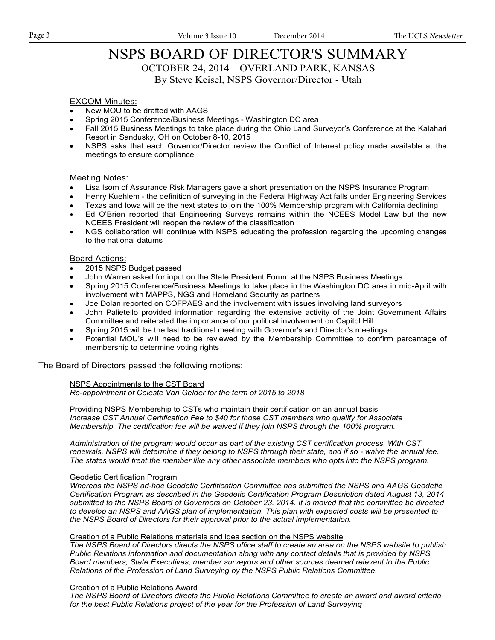## NSPS BOARD OF DIRECTOR'S SUMMARY

OCTOBER 24, 2014 – OVERLAND PARK, KANSAS

By Steve Keisel, NSPS Governor/Director - Utah

#### EXCOM Minutes:

- New MOU to be drafted with AAGS
- Spring 2015 Conference/Business Meetings Washington DC area
- Fall 2015 Business Meetings to take place during the Ohio Land Surveyor's Conference at the Kalahari Resort in Sandusky, OH on October 8-10, 2015
- NSPS asks that each Governor/Director review the Conflict of Interest policy made available at the meetings to ensure compliance

#### Meeting Notes:

- Lisa Isom of Assurance Risk Managers gave a short presentation on the NSPS Insurance Program
- Henry Kuehlem the definition of surveying in the Federal Highway Act falls under Engineering Services
- Texas and Iowa will be the next states to join the 100% Membership program with California declining
- Ed O'Brien reported that Engineering Surveys remains within the NCEES Model Law but the new NCEES President will reopen the review of the classification
- NGS collaboration will continue with NSPS educating the profession regarding the upcoming changes to the national datums

#### Board Actions:

- 2015 NSPS Budget passed
- John Warren asked for input on the State President Forum at the NSPS Business Meetings
- Spring 2015 Conference/Business Meetings to take place in the Washington DC area in mid-April with involvement with MAPPS, NGS and Homeland Security as partners
- Joe Dolan reported on COFPAES and the involvement with issues involving land surveyors
- John Palietello provided information regarding the extensive activity of the Joint Government Affairs Committee and reiterated the importance of our political involvement on Capitol Hill
- Spring 2015 will be the last traditional meeting with Governor's and Director's meetings
- Potential MOU's will need to be reviewed by the Membership Committee to confirm percentage of membership to determine voting rights

The Board of Directors passed the following motions:

#### NSPS Appointments to the CST Board

*Re-appointment of Celeste Van Gelder for the term of 2015 to 2018*

Providing NSPS Membership to CSTs who maintain their certification on an annual basis *Increase CST Annual Certification Fee to \$40 for those CST members who qualify for Associate Membership. The certification fee will be waived if they join NSPS through the 100% program.*

*Administration of the program would occur as part of the existing CST certification process. With CST renewals, NSPS will determine if they belong to NSPS through their state, and if so - waive the annual fee. The states would treat the member like any other associate members who opts into the NSPS program.*

#### Geodetic Certification Program

*Whereas the NSPS ad-hoc Geodetic Certification Committee has submitted the NSPS and AAGS Geodetic Certification Program as described in the Geodetic Certification Program Description dated August 13, 2014 submitted to the NSPS Board of Governors on October 23, 2014. It is moved that the committee be directed to develop an NSPS and AAGS plan of implementation. This plan with expected costs will be presented to the NSPS Board of Directors for their approval prior to the actual implementation.*

#### Creation of a Public Relations materials and idea section on the NSPS website

*The NSPS Board of Directors directs the NSPS office staff to create an area on the NSPS website to publish Public Relations information and documentation along with any contact details that is provided by NSPS Board members, State Executives, member surveyors and other sources deemed relevant to the Public Relations of the Profession of Land Surveying by the NSPS Public Relations Committee.*

#### Creation of a Public Relations Award

*The NSPS Board of Directors directs the Public Relations Committee to create an award and award criteria for the best Public Relations project of the year for the Profession of Land Surveying*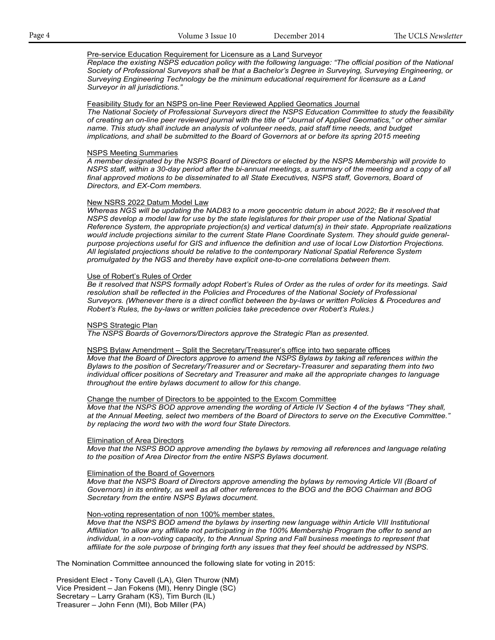#### Pre-service Education Requirement for Licensure as a Land Surveyor

*Replace the existing NSPS education policy with the following language: "The official position of the National Society of Professional Surveyors shall be that a Bachelor's Degree in Surveying, Surveying Engineering, or Surveying Engineering Technology be the minimum educational requirement for licensure as a Land Surveyor in all jurisdictions."*

#### Feasibility Study for an NSPS on-line Peer Reviewed Applied Geomatics Journal

*The National Society of Professional Surveyors direct the NSPS Education Committee to study the feasibility of creating an on-line peer reviewed journal with the title of "Journal of Applied Geomatics," or other similar name. This study shall include an analysis of volunteer needs, paid staff time needs, and budget implications, and shall be submitted to the Board of Governors at or before its spring 2015 meeting*

#### NSPS Meeting Summaries

*A member designated by the NSPS Board of Directors or elected by the NSPS Membership will provide to NSPS staff, within a 30-day period after the bi-annual meetings, a summary of the meeting and a copy of all*  final approved motions to be disseminated to all State Executives, NSPS staff, Governors, Board of *Directors, and EX-Com members.*

#### New NSRS 2022 Datum Model Law

*Whereas NGS will be updating the NAD83 to a more geocentric datum in about 2022; Be it resolved that NSPS develop a model law for use by the state legislatures for their proper use of the National Spatial Reference System, the appropriate projection(s) and vertical datum(s) in their state. Appropriate realizations would include projections similar to the current State Plane Coordinate System. They should guide generalpurpose projections useful for GIS and influence the definition and use of local Low Distortion Projections. All legislated projections should be relative to the contemporary National Spatial Reference System promulgated by the NGS and thereby have explicit one-to-one correlations between them.*

#### Use of Robert's Rules of Order

*Be it resolved that NSPS formally adopt Robert's Rules of Order as the rules of order for its meetings. Said resolution shall be reflected in the Policies and Procedures of the National Society of Professional Surveyors. (Whenever there is a direct conflict between the by-laws or written Policies & Procedures and Robert's Rules, the by-laws or written policies take precedence over Robert's Rules.)*

#### NSPS Strategic Plan

*The NSPS Boards of Governors/Directors approve the Strategic Plan as presented.*

#### NSPS Bylaw Amendment – Split the Secretary/Treasurer's office into two separate offices

*Move that the Board of Directors approve to amend the NSPS Bylaws by taking all references within the Bylaws to the position of Secretary/Treasurer and or Secretary-Treasurer and separating them into two individual officer positions of Secretary and Treasurer and make all the appropriate changes to language throughout the entire bylaws document to allow for this change.*

#### Change the number of Directors to be appointed to the Excom Committee

*Move that the NSPS BOD approve amending the wording of Article IV Section 4 of the bylaws "They shall, at the Annual Meeting, select two members of the Board of Directors to serve on the Executive Committee." by replacing the word two with the word four State Directors.*

#### **Elimination of Area Directors**

*Move that the NSPS BOD approve amending the bylaws by removing all references and language relating to the position of Area Director from the entire NSPS Bylaws document.*

#### Elimination of the Board of Governors

*Move that the NSPS Board of Directors approve amending the bylaws by removing Article VII (Board of Governors) in its entirety, as well as all other references to the BOG and the BOG Chairman and BOG Secretary from the entire NSPS Bylaws document.*

#### Non-voting representation of non 100% member states.

*Move that the NSPS BOD amend the bylaws by inserting new language within Article VIII Institutional Affiliation "to allow any affiliate not participating in the 100% Membership Program the offer to send an*  individual, in a non-voting capacity, to the Annual Spring and Fall business meetings to represent that *affiliate for the sole purpose of bringing forth any issues that they feel should be addressed by NSPS.*

The Nomination Committee announced the following slate for voting in 2015:

President Elect - Tony Cavell (LA), Glen Thurow (NM) Vice President – Jan Fokens (MI), Henry Dingle (SC) Secretary – Larry Graham (KS), Tim Burch (IL) Treasurer – John Fenn (MI), Bob Miller (PA)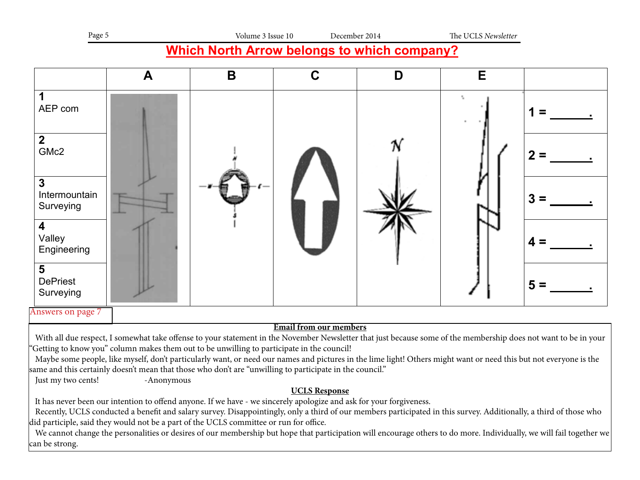| Page 5 | Volume 3 Issue 10 | December 2014 | The UCLS Newsletter |
|--------|-------------------|---------------|---------------------|
|        |                   |               |                     |

## **Which North Arrow belongs to which company?**

|                                   | A          | B                                                                                          | C                                                                                                                                                                                                                                                                                                                                                                                                                                                                                 | D | E |                                                                                                                                                                  |
|-----------------------------------|------------|--------------------------------------------------------------------------------------------|-----------------------------------------------------------------------------------------------------------------------------------------------------------------------------------------------------------------------------------------------------------------------------------------------------------------------------------------------------------------------------------------------------------------------------------------------------------------------------------|---|---|------------------------------------------------------------------------------------------------------------------------------------------------------------------|
| AEP com                           |            |                                                                                            |                                                                                                                                                                                                                                                                                                                                                                                                                                                                                   |   |   |                                                                                                                                                                  |
| $\overline{2}$<br>GMc2            |            |                                                                                            |                                                                                                                                                                                                                                                                                                                                                                                                                                                                                   |   |   |                                                                                                                                                                  |
| 3<br>Intermountain<br>Surveying   |            |                                                                                            |                                                                                                                                                                                                                                                                                                                                                                                                                                                                                   |   |   |                                                                                                                                                                  |
| 4<br>Valley<br>Engineering        |            |                                                                                            |                                                                                                                                                                                                                                                                                                                                                                                                                                                                                   |   |   |                                                                                                                                                                  |
| 5<br><b>DePriest</b><br>Surveying |            |                                                                                            |                                                                                                                                                                                                                                                                                                                                                                                                                                                                                   |   |   |                                                                                                                                                                  |
| Answers on page 7                 |            |                                                                                            |                                                                                                                                                                                                                                                                                                                                                                                                                                                                                   |   |   |                                                                                                                                                                  |
| Just my two cents!                | -Anonymous | 'Getting to know you" column makes them out to be unwilling to participate in the council! | <b>Email from our members</b><br>With all due respect, I somewhat take offense to your statement in the November Newsletter that just because some of the membership does not want to be in your<br>Maybe some people, like myself, don't particularly want, or need our names and pictures in the lime light! Others might want or need this but not everyone is the<br>"same and this certainly doesn't mean that those who don't are "unwilling to participate in the council. |   |   |                                                                                                                                                                  |
|                                   |            |                                                                                            | <b>UCLS Response</b><br>It has never been our intention to offend anyone. If we have - we sincerely apologize and ask for your forgiveness.                                                                                                                                                                                                                                                                                                                                       |   |   |                                                                                                                                                                  |
|                                   |            | did participle, said they would not be a part of the UCLS committee or run for office.     | Recently, UCLS conducted a benefit and salary survey. Disappointingly, only a third of our members participated in this survey. Additionally, a third of those who                                                                                                                                                                                                                                                                                                                |   |   | We cannot change the newscapiting or degine of our membership but bone that perticipation will encourage athere to do more Individually we will fail together we |

 We cannot change the personalities or desires of our membership but hope that participation will encourage others to do more. Individually, we will fail together we can be strong.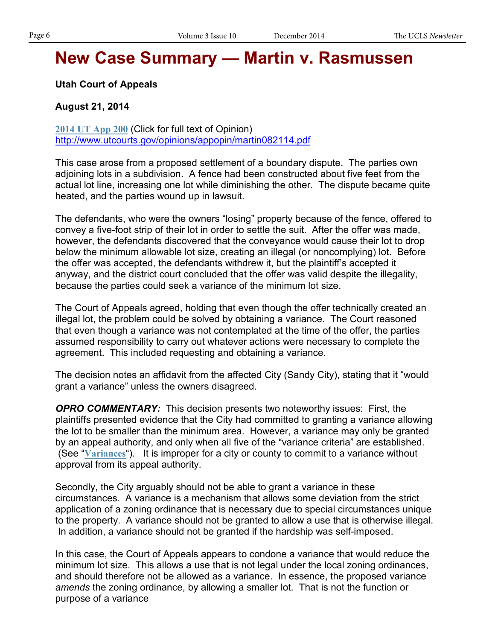## **New Case Summary — Martin v. Rasmussen**

**Utah Court of Appeals**

#### **August 21, 2014**

**2014 UT App 200** (Click for full text of Opinion) http://www.utcourts.gov/opinions/appopin/martin082114.pdf

This case arose from a proposed settlement of a boundary dispute. The parties own adjoining lots in a subdivision. A fence had been constructed about five feet from the actual lot line, increasing one lot while diminishing the other. The dispute became quite heated, and the parties wound up in lawsuit.

The defendants, who were the owners "losing" property because of the fence, offered to convey a five-foot strip of their lot in order to settle the suit. After the offer was made, however, the defendants discovered that the conveyance would cause their lot to drop below the minimum allowable lot size, creating an illegal (or noncomplying) lot. Before the offer was accepted, the defendants withdrew it, but the plaintiff's accepted it anyway, and the district court concluded that the offer was valid despite the illegality, because the parties could seek a variance of the minimum lot size.

The Court of Appeals agreed, holding that even though the offer technically created an illegal lot, the problem could be solved by obtaining a variance. The Court reasoned that even though a variance was not contemplated at the time of the offer, the parties assumed responsibility to carry out whatever actions were necessary to complete the agreement. This included requesting and obtaining a variance.

The decision notes an affidavit from the affected City (Sandy City), stating that it "would grant a variance" unless the owners disagreed.

*OPRO COMMENTARY:* This decision presents two noteworthy issues: First, the plaintiffs presented evidence that the City had committed to granting a variance allowing the lot to be smaller than the minimum area. However, a variance may only be granted by an appeal authority, and only when all five of the "variance criteria" are established. (See "**Variances**"). It is improper for a city or county to commit to a variance without approval from its appeal authority.

Secondly, the City arguably should not be able to grant a variance in these circumstances. A variance is a mechanism that allows some deviation from the strict application of a zoning ordinance that is necessary due to special circumstances unique to the property. A variance should not be granted to allow a use that is otherwise illegal. In addition, a variance should not be granted if the hardship was self-imposed.

In this case, the Court of Appeals appears to condone a variance that would reduce the minimum lot size. This allows a use that is not legal under the local zoning ordinances, and should therefore not be allowed as a variance. In essence, the proposed variance *amends* the zoning ordinance, by allowing a smaller lot. That is not the function or purpose of a variance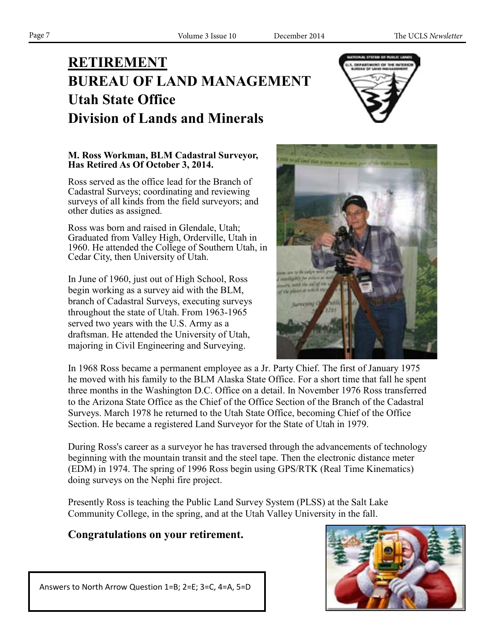## **RETIREMENT BUREAU OF LAND MANAGEMENT Utah State Office Division of Lands and Minerals**



#### **M. Ross Workman, BLM Cadastral Surveyor, Has Retired As Of October 3, 2014.**

Ross served as the office lead for the Branch of Cadastral Surveys; coordinating and reviewing surveys of all kinds from the field surveyors; and other duties as assigned.

Ross was born and raised in Glendale, Utah; Graduated from Valley High, Orderville, Utah in 1960. He attended the College of Southern Utah, in Cedar City, then University of Utah.

In June of 1960, just out of High School, Ross **Which Company**<br>hogin working as a survey oid with the PLM begin working as a survey aid with the BLM, branch of Cadastral Surveys, executing surveys **EXECUTE STATE OF CALCER STATE OF UTAH.** From 1963-1965 served two years with the U.S. Army as a draftsman. He attended the University of Utah, majoring in Civil Engineering and Surveying.



In 1968 Ross became a permanent employee as a Jr. Party Chief. The first of January 1975 he moved with his family to the BLM Alaska State Office. For a short time that fall he spent three months in the Washington D.C. Office on a detail. In November 1976 Ross transferred to the Arizona State Office as the Chief of the Office Section of the Branch of the Cadastral Surveys. March 1978 he returned to the Utah State Office, becoming Chief of the Office Section. He became a registered Land Surveyor for the State of Utah in 1979.

During Ross's career as a surveyor he has traversed through the advancements of technology beginning with the mountain transit and the steel tape. Then the electronic distance meter (EDM) in 1974. The spring of 1996 Ross begin using GPS/RTK (Real Time Kinematics) doing surveys on the Nephi fire project.  $\frac{1}{2}$   $\frac{1}{2}$   $\frac{1}{2}$   $\frac{1}{2}$   $\frac{1}{2}$   $\frac{1}{2}$   $\frac{1}{2}$   $\frac{1}{2}$   $\frac{1}{2}$   $\frac{1}{2}$   $\frac{1}{2}$   $\frac{1}{2}$   $\frac{1}{2}$   $\frac{1}{2}$   $\frac{1}{2}$ Valley

Presently Ross is teaching the Public Land Survey System (PLSS) at the Salt Lake Community College, in the spring, and at the Utah Valley University in the fall.

### **Congratulations on your retirement.**



Answers to North Arrow Question 1=B; 2=E; 3=C, 4=A, 5=D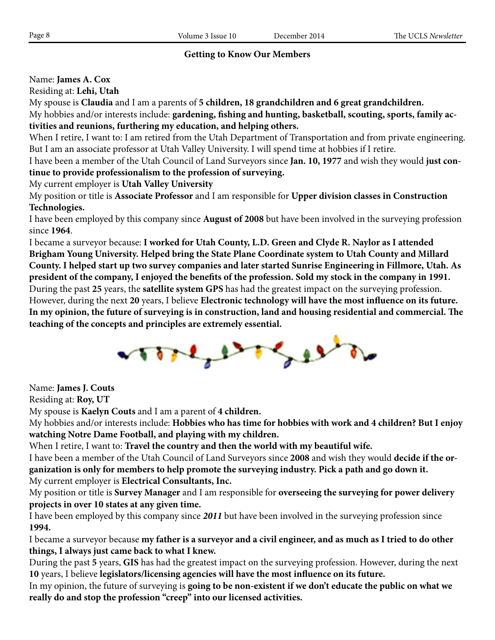#### **Getting to Know Our Members**

Name: **James A. Cox**

Residing at: **Lehi, Utah**

My spouse is **Claudia** and I am a parents of **5 children, 18 grandchildren and 6 great grandchildren.** My hobbies and/or interests include: **gardening, fishing and hunting, basketball, scouting, sports, family activities and reunions, furthering my education, and helping others.**

When I retire, I want to: I am retired from the Utah Department of Transportation and from private engineering. But I am an associate professor at Utah Valley University. I will spend time at hobbies if I retire.

I have been a member of the Utah Council of Land Surveyors since **Jan. 10, 1977** and wish they would **just continue to provide professionalism to the profession of surveying.**

My current employer is **Utah Valley University**

My position or title is **Associate Professor** and I am responsible for **Upper division classes in Construction Technologies.**

I have been employed by this company since **August of 2008** but have been involved in the surveying profession since **1964**.

I became a surveyor because: **I worked for Utah County, L.D. Green and Clyde R. Naylor as I attended Brigham Young University. Helped bring the State Plane Coordinate system to Utah County and Millard County. I helped start up two survey companies and later started Sunrise Engineering in Fillmore, Utah. As president of the company, I enjoyed the benefits of the profession. Sold my stock in the company in 1991.** During the past **25** years, the **satellite system GPS** has had the greatest impact on the surveying profession. However, during the next **20** years, I believe **Electronic technology will have the most influence on its future. In my opinion, the future of surveying is in construction, land and housing residential and commercial. The teaching of the concepts and principles are extremely essential.**



Name: **James J. Couts**

Residing at: **Roy, UT**

My spouse is **Kaelyn Couts** and I am a parent of **4 children.**

My hobbies and/or interests include: **Hobbies who has time for hobbies with work and 4 children? But I enjoy watching Notre Dame Football, and playing with my children.**

When I retire, I want to: **Travel the country and then the world with my beautiful wife.**

I have been a member of the Utah Council of Land Surveyors since **2008** and wish they would **decide if the organization is only for members to help promote the surveying industry. Pick a path and go down it.** My current employer is **Electrical Consultants, Inc.**

My position or title is **Survey Manager** and I am responsible for **overseeing the surveying for power delivery projects in over 10 states at any given time.**

I have been employed by this company since *2011* but have been involved in the surveying profession since **1994.**

I became a surveyor because **my father is a surveyor and a civil engineer, and as much as I tried to do other things, I always just came back to what I knew.**

During the past **5** years, **GIS** has had the greatest impact on the surveying profession. However, during the next **10** years, I believe **legislators/licensing agencies will have the most influence on its future.** 

In my opinion, the future of surveying is **going to be non-existent if we don't educate the public on what we really do and stop the profession "creep" into our licensed activities.**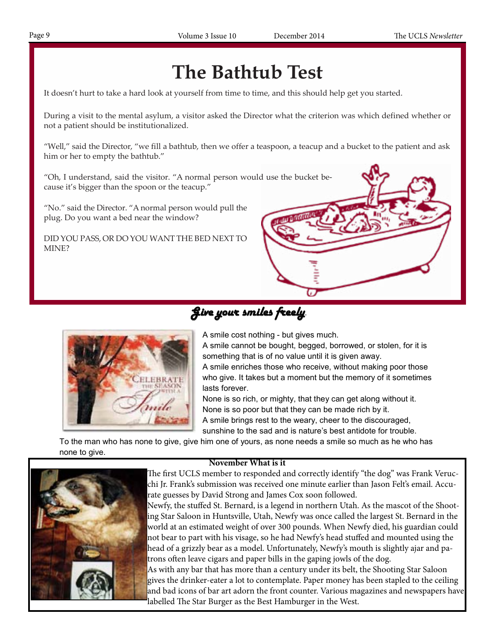## **The Bathtub Test**

It doesn't hurt to take a hard look at yourself from time to time, and this should help get you started.

During a visit to the mental asylum, a visitor asked the Director what the criterion was which defined whether or not a patient should be institutionalized.

"Well," said the Director, "we fill a bathtub, then we offer a teaspoon, a teacup and a bucket to the patient and ask him or her to empty the bathtub."

"Oh, I understand, said the visitor. "A normal person would use the bucket because it's bigger than the spoon or the teacup."

"No." said the Director. "A normal person would pull the plug. Do you want a bed near the window?

DID YOU PASS, OR DO YOU WANT THE BED NEXT TO MINE?



Give your smiles freely.



A smile cost nothing - but gives much.

A smile cannot be bought, begged, borrowed, or stolen, for it is something that is of no value until it is given away.

A smile enriches those who receive, without making poor those who give. It takes but a moment but the memory of it sometimes lasts forever.

None is so rich, or mighty, that they can get along without it. None is so poor but that they can be made rich by it. A smile brings rest to the weary, cheer to the discouraged,

sunshine to the sad and is nature's best antidote for trouble.

To the man who has none to give, give him one of yours, as none needs a smile so much as he who has none to give.

#### **November What is it**



 The first UCLS member to responded and correctly identify "the dog" was Frank Verucchi Jr. Frank's submission was received one minute earlier than Jason Felt's email. Accurate guesses by David Strong and James Cox soon followed.

 Newfy, the stuffed St. Bernard, is a legend in northern Utah. As the mascot of the Shooting Star Saloon in Huntsville, Utah, Newfy was once called the largest St. Bernard in the world at an estimated weight of over 300 pounds. When Newfy died, his guardian could not bear to part with his visage, so he had Newfy's head stuffed and mounted using the head of a grizzly bear as a model. Unfortunately, Newfy's mouth is slightly ajar and patrons often leave cigars and paper bills in the gaping jowls of the dog.

 As with any bar that has more than a century under its belt, the Shooting Star Saloon gives the drinker-eater a lot to contemplate. Paper money has been stapled to the ceiling and bad icons of bar art adorn the front counter. Various magazines and newspapers have labelled The Star Burger as the Best Hamburger in the West.